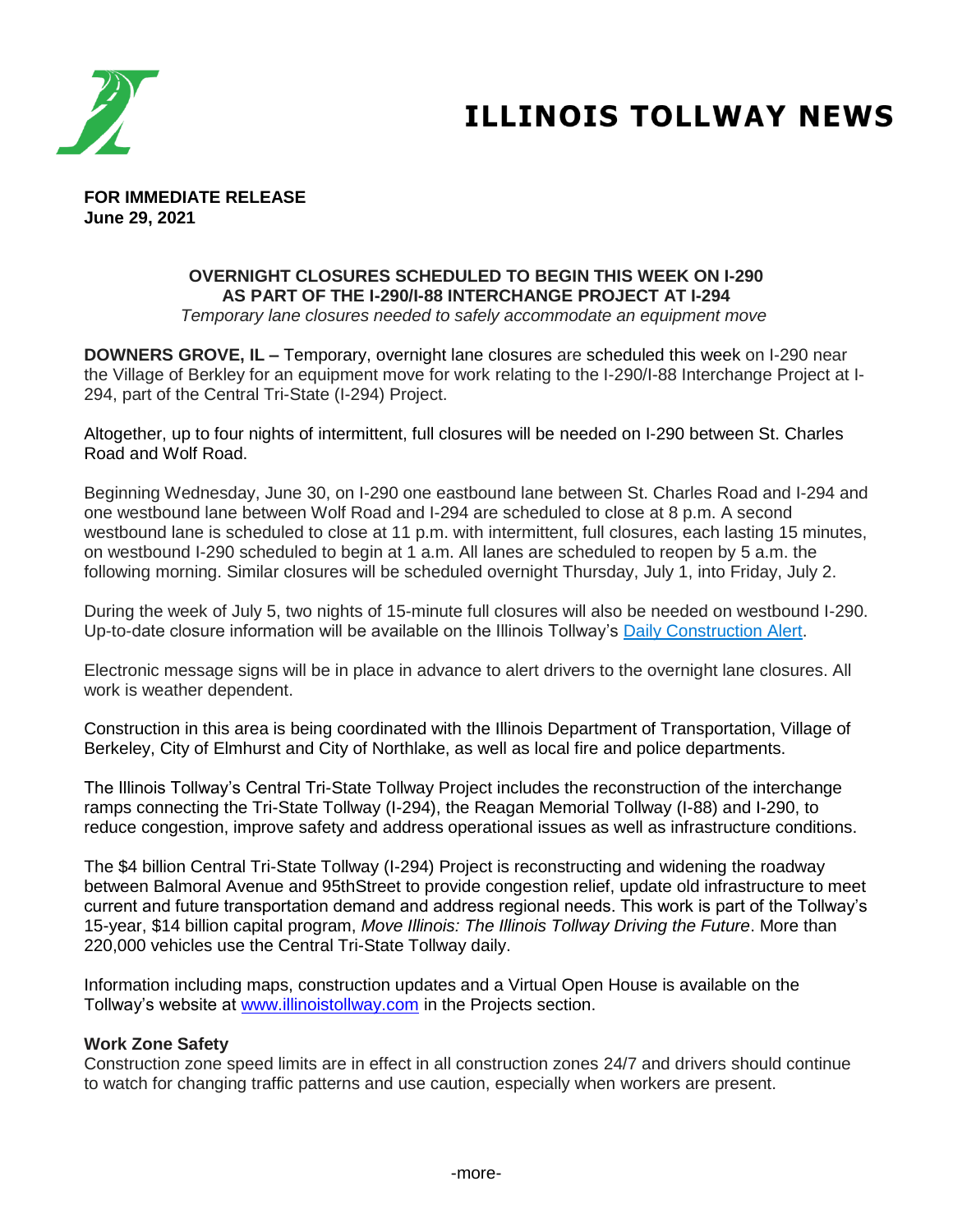

# **ILLINOIS TOLLWAY NEWS**

**FOR IMMEDIATE RELEASE June 29, 2021**

## **OVERNIGHT CLOSURES SCHEDULED TO BEGIN THIS WEEK ON I-290 AS PART OF THE I-290/I-88 INTERCHANGE PROJECT AT I-294**

*Temporary lane closures needed to safely accommodate an equipment move*

**DOWNERS GROVE, IL –** Temporary, overnight lane closures are scheduled this week on I-290 near the Village of Berkley for an equipment move for work relating to the I-290/I-88 Interchange Project at I-294, part of the Central Tri-State (I-294) Project.

Altogether, up to four nights of intermittent, full closures will be needed on I-290 between St. Charles Road and Wolf Road.

Beginning Wednesday, June 30, on I-290 one eastbound lane between St. Charles Road and I-294 and one westbound lane between Wolf Road and I-294 are scheduled to close at 8 p.m. A second westbound lane is scheduled to close at 11 p.m. with intermittent, full closures, each lasting 15 minutes, on westbound I-290 scheduled to begin at 1 a.m. All lanes are scheduled to reopen by 5 a.m. the following morning. Similar closures will be scheduled overnight Thursday, July 1, into Friday, July 2.

During the week of July 5, two nights of 15-minute full closures will also be needed on westbound I-290. Up-to-date closure information will be available on the Illinois Tollway's [Daily Construction Alert.](https://www.illinoistollway.com/media-center/construction-alerts)

Electronic message signs will be in place in advance to alert drivers to the overnight lane closures. All work is weather dependent.

Construction in this area is being coordinated with the Illinois Department of Transportation, Village of Berkeley, City of Elmhurst and City of Northlake, as well as local fire and police departments.

The Illinois Tollway's Central Tri-State Tollway Project includes the reconstruction of the interchange ramps connecting the Tri-State Tollway (I-294), the Reagan Memorial Tollway (I-88) and I-290, to reduce congestion, improve safety and address operational issues as well as infrastructure conditions.

The \$4 billion Central Tri-State Tollway (I-294) Project is reconstructing and widening the roadway between Balmoral Avenue and 95thStreet to provide congestion relief, update old infrastructure to meet current and future transportation demand and address regional needs. This work is part of the Tollway's 15-year, \$14 billion capital program, *Move Illinois: The Illinois Tollway Driving the Future*. More than 220,000 vehicles use the Central Tri-State Tollway daily.

Information including maps, construction updates and a Virtual Open House is available on the Tollway's website at [www.illinoistollway.com](http://www.illinoistollway.com/) in the Projects section.

### **Work Zone Safety**

Construction zone speed limits are in effect in all construction zones 24/7 and drivers should continue to watch for changing traffic patterns and use caution, especially when workers are present.